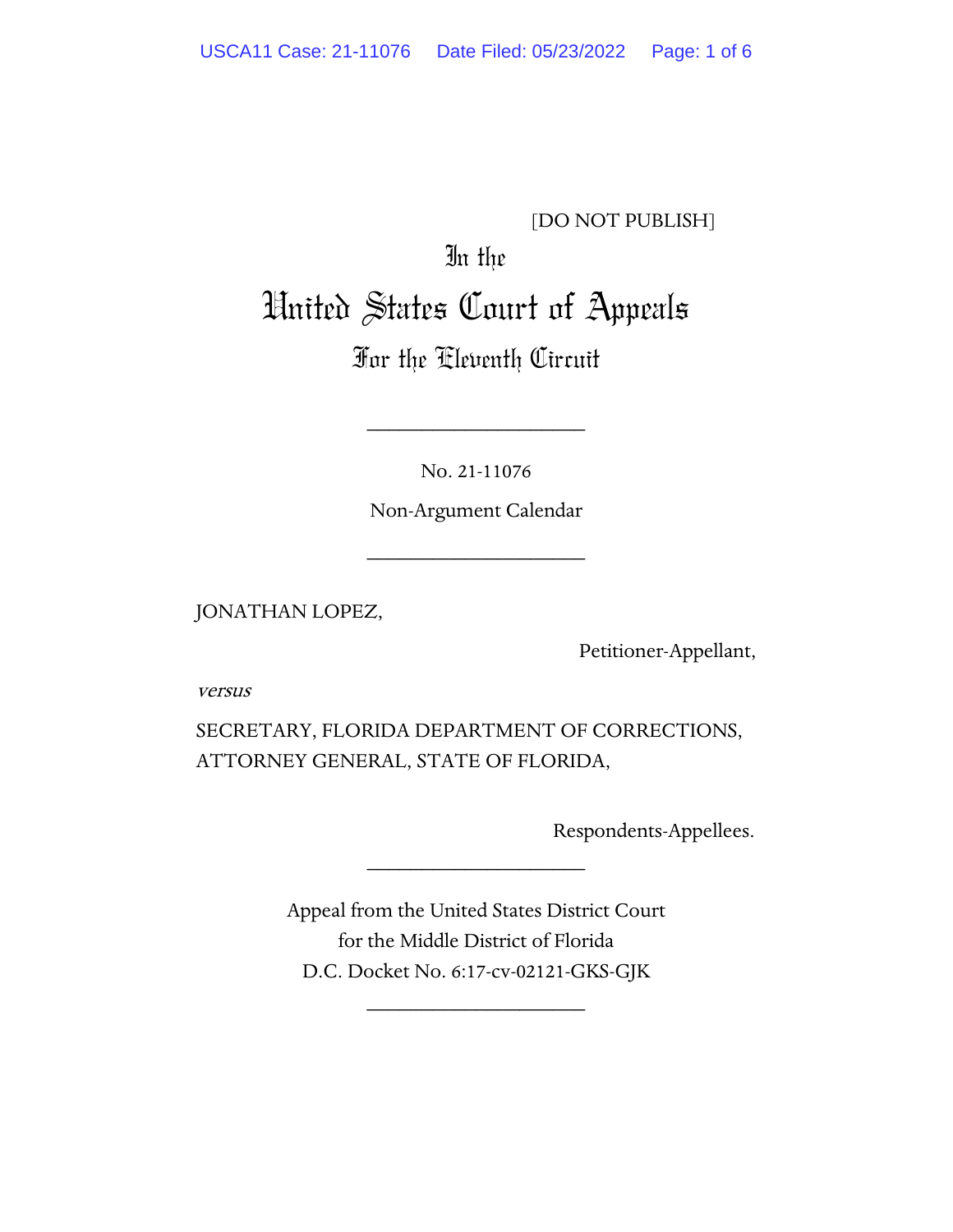### [DO NOT PUBLISH]

# In the United States Court of Appeals

## For the Eleventh Circuit

No. 21-11076

\_\_\_\_\_\_\_\_\_\_\_\_\_\_\_\_\_\_\_\_

Non-Argument Calendar

\_\_\_\_\_\_\_\_\_\_\_\_\_\_\_\_\_\_\_\_

JONATHAN LOPEZ,

Petitioner-Appellant,

versus

SECRETARY, FLORIDA DEPARTMENT OF CORRECTIONS, ATTORNEY GENERAL, STATE OF FLORIDA,

Respondents-Appellees.

Appeal from the United States District Court for the Middle District of Florida D.C. Docket No. 6:17-cv-02121-GKS-GJK

\_\_\_\_\_\_\_\_\_\_\_\_\_\_\_\_\_\_\_\_

\_\_\_\_\_\_\_\_\_\_\_\_\_\_\_\_\_\_\_\_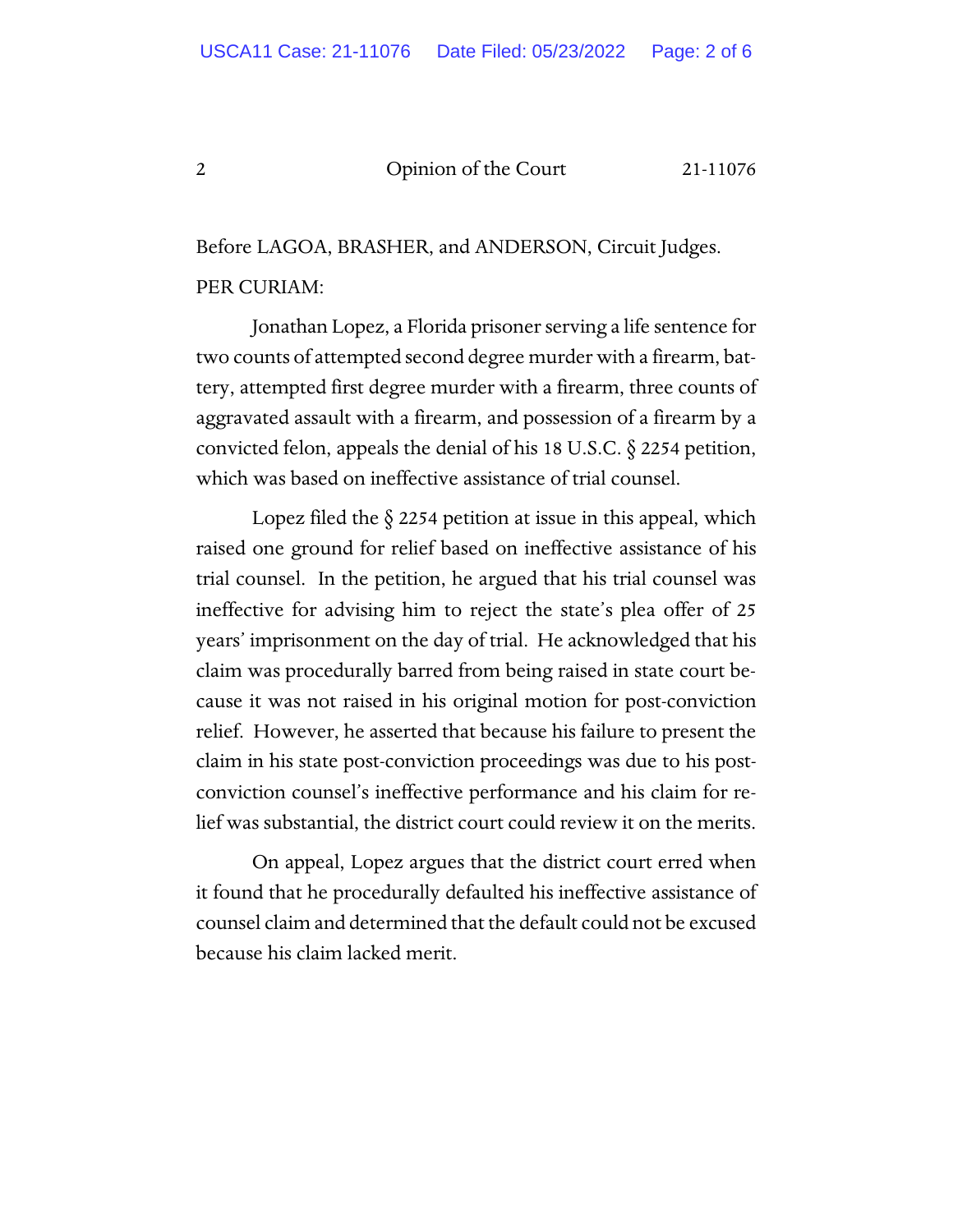#### 2 Opinion of the Court 21-11076

Before LAGOA, BRASHER, and ANDERSON, Circuit Judges. PER CURIAM:

Jonathan Lopez, a Florida prisoner serving a life sentence for two counts of attempted second degree murder with a firearm, battery, attempted first degree murder with a firearm, three counts of aggravated assault with a firearm, and possession of a firearm by a convicted felon, appeals the denial of his 18 U.S.C. § 2254 petition, which was based on ineffective assistance of trial counsel.

Lopez filed the  $\S$  2254 petition at issue in this appeal, which raised one ground for relief based on ineffective assistance of his trial counsel. In the petition, he argued that his trial counsel was ineffective for advising him to reject the state's plea offer of 25 years' imprisonment on the day of trial. He acknowledged that his claim was procedurally barred from being raised in state court because it was not raised in his original motion for post-conviction relief. However, he asserted that because his failure to present the claim in his state post-conviction proceedings was due to his postconviction counsel's ineffective performance and his claim for relief was substantial, the district court could review it on the merits.

On appeal, Lopez argues that the district court erred when it found that he procedurally defaulted his ineffective assistance of counsel claim and determined that the default could not be excused because his claim lacked merit.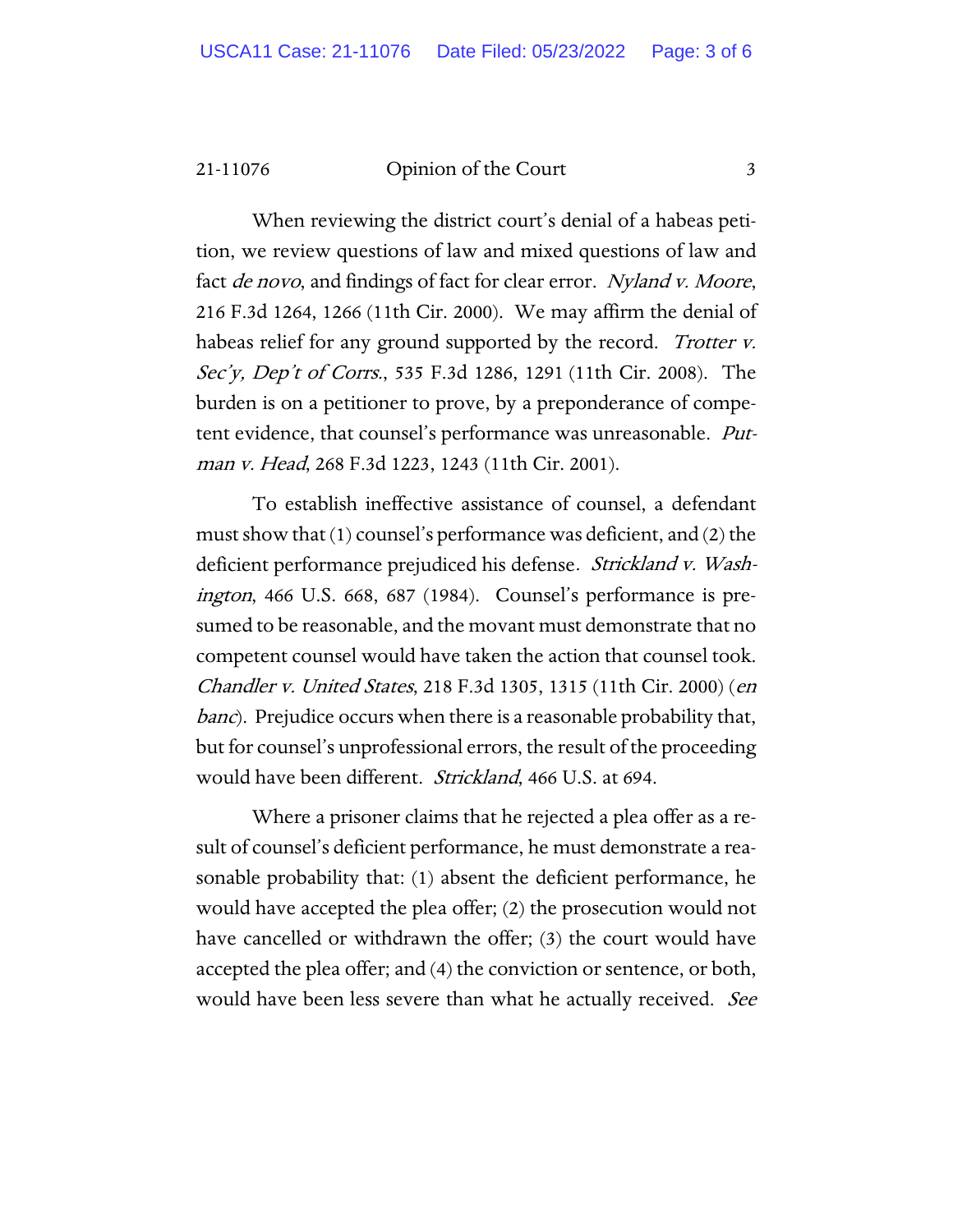21-11076 Opinion of the Court 3

When reviewing the district court's denial of a habeas petition, we review questions of law and mixed questions of law and fact *de novo*, and findings of fact for clear error. Nyland v. Moore, 216 F.3d 1264, 1266 (11th Cir. 2000). We may affirm the denial of habeas relief for any ground supported by the record. *Trotter v.* Sec'y, Dep't of Corrs., 535 F.3d 1286, 1291 (11th Cir. 2008). The burden is on a petitioner to prove, by a preponderance of competent evidence, that counsel's performance was unreasonable. Putman v. Head, 268 F.3d 1223, 1243 (11th Cir. 2001).

To establish ineffective assistance of counsel, a defendant must show that (1) counsel's performance was deficient, and (2) the deficient performance prejudiced his defense. Strickland v. Washington, 466 U.S. 668, 687 (1984). Counsel's performance is presumed to be reasonable, and the movant must demonstrate that no competent counsel would have taken the action that counsel took. Chandler v. United States, 218 F.3d 1305, 1315 (11th Cir. 2000) (en *banc*). Prejudice occurs when there is a reasonable probability that, but for counsel's unprofessional errors, the result of the proceeding would have been different. Strickland, 466 U.S. at 694.

Where a prisoner claims that he rejected a plea offer as a result of counsel's deficient performance, he must demonstrate a reasonable probability that: (1) absent the deficient performance, he would have accepted the plea offer; (2) the prosecution would not have cancelled or withdrawn the offer; (3) the court would have accepted the plea offer; and (4) the conviction or sentence, or both, would have been less severe than what he actually received. See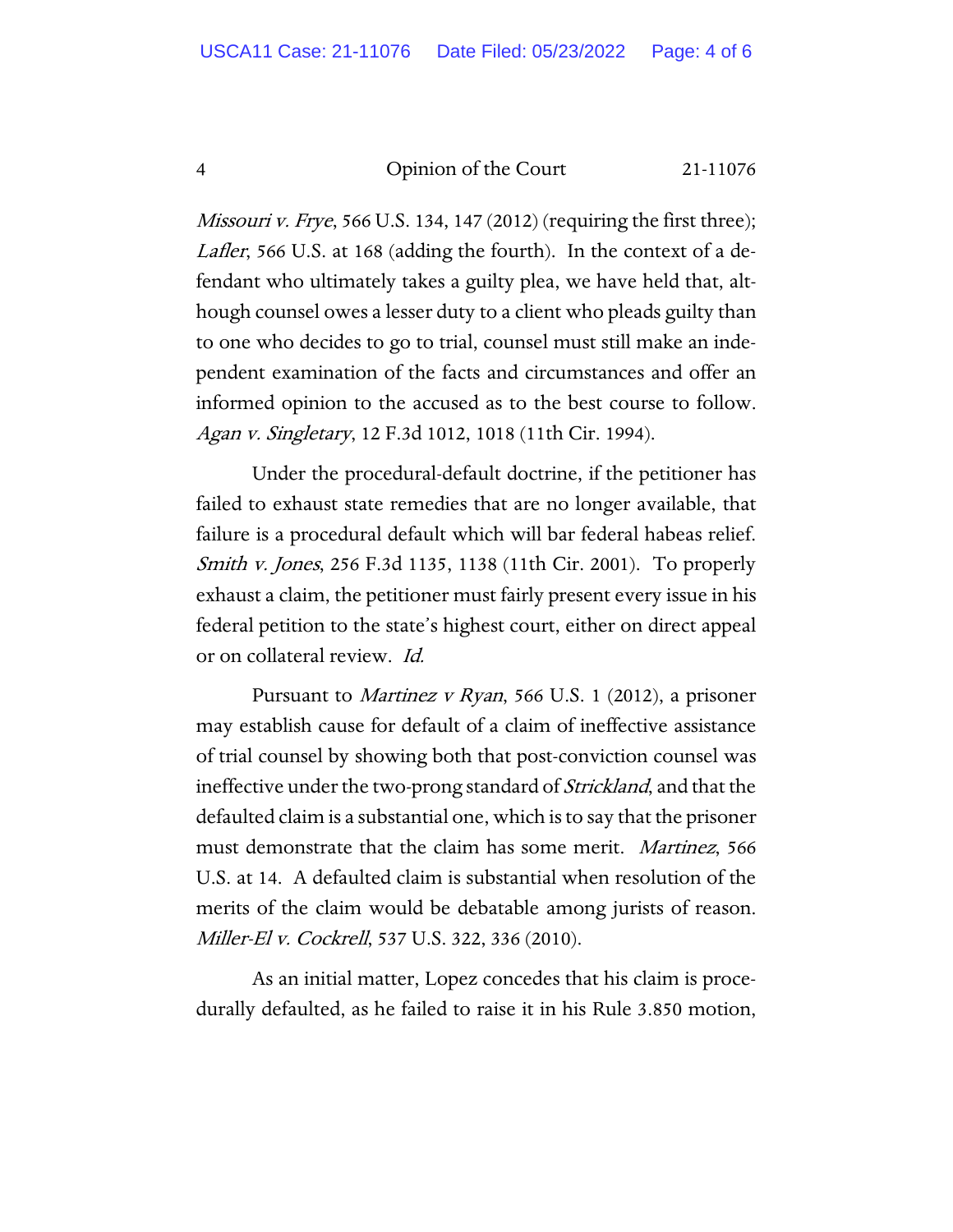4 Opinion of the Court 21-11076

*Missouri v. Frye*, 566 U.S. 134, 147 (2012) (requiring the first three); Lafler, 566 U.S. at 168 (adding the fourth). In the context of a defendant who ultimately takes a guilty plea, we have held that, although counsel owes a lesser duty to a client who pleads guilty than to one who decides to go to trial, counsel must still make an independent examination of the facts and circumstances and offer an informed opinion to the accused as to the best course to follow. Agan v. Singletary, 12 F.3d 1012, 1018 (11th Cir. 1994).

Under the procedural-default doctrine, if the petitioner has failed to exhaust state remedies that are no longer available, that failure is a procedural default which will bar federal habeas relief. Smith v. Jones, 256 F.3d 1135, 1138 (11th Cir. 2001). To properly exhaust a claim, the petitioner must fairly present every issue in his federal petition to the state's highest court, either on direct appeal or on collateral review. Id.

Pursuant to *Martinez v Ryan*, 566 U.S. 1 (2012), a prisoner may establish cause for default of a claim of ineffective assistance of trial counsel by showing both that post-conviction counsel was ineffective under the two-prong standard of Strickland, and that the defaulted claim is a substantial one, which is to say that the prisoner must demonstrate that the claim has some merit. Martinez, 566 U.S. at 14. A defaulted claim is substantial when resolution of the merits of the claim would be debatable among jurists of reason. Miller-El v. Cockrell, 537 U.S. 322, 336 (2010).

As an initial matter, Lopez concedes that his claim is procedurally defaulted, as he failed to raise it in his Rule 3.850 motion,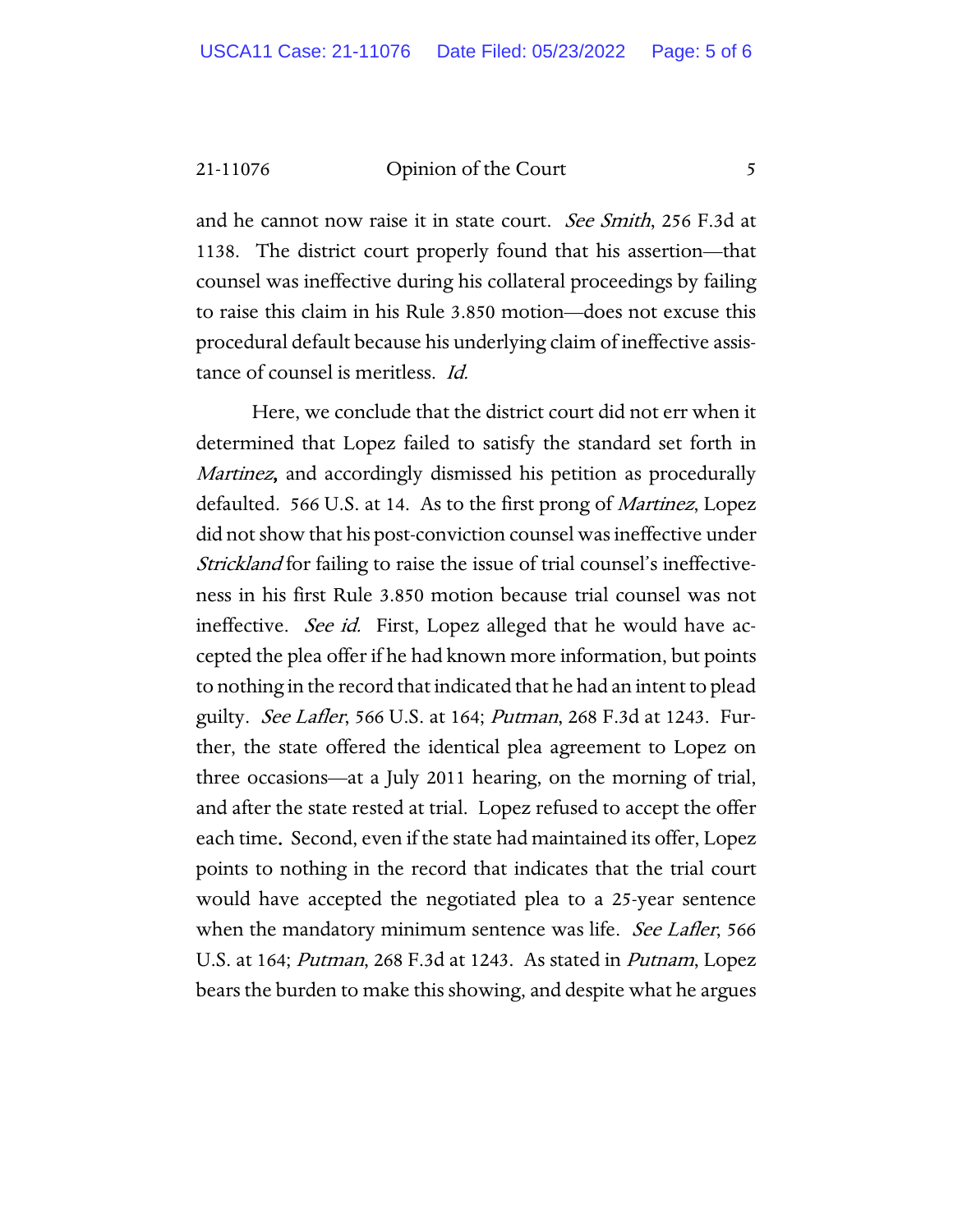21-11076 Opinion of the Court 5

and he cannot now raise it in state court. *See Smith*, 256 F.3d at 1138. The district court properly found that his assertion—that counsel was ineffective during his collateral proceedings by failing to raise this claim in his Rule 3.850 motion—does not excuse this procedural default because his underlying claim of ineffective assistance of counsel is meritless. Id.

Here, we conclude that the district court did not err when it determined that Lopez failed to satisfy the standard set forth in Martinez, and accordingly dismissed his petition as procedurally defaulted. 566 U.S. at 14. As to the first prong of *Martinez*, Lopez did not show that his post-conviction counsel was ineffective under Strickland for failing to raise the issue of trial counsel's ineffectiveness in his first Rule 3.850 motion because trial counsel was not ineffective. See id. First, Lopez alleged that he would have accepted the plea offer if he had known more information, but points to nothing in the record that indicated that he had an intent to plead guilty. *See Lafler*, 566 U.S. at 164; *Putman*, 268 F.3d at 1243. Further, the state offered the identical plea agreement to Lopez on three occasions—at a July 2011 hearing, on the morning of trial, and after the state rested at trial. Lopez refused to accept the offer each time. Second, even if the state had maintained its offer, Lopez points to nothing in the record that indicates that the trial court would have accepted the negotiated plea to a 25-year sentence when the mandatory minimum sentence was life. *See Lafler*, 566 U.S. at 164; *Putman*, 268 F.3d at 1243. As stated in *Putnam*, Lopez bears the burden to make this showing, and despite what he argues